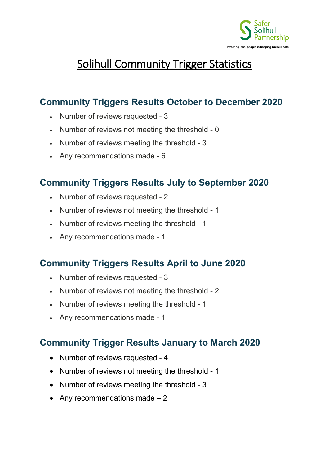

# Solihull Community Trigger Statistics

# **Community Triggers Results October to December 2020**

- Number of reviews requested 3
- Number of reviews not meeting the threshold 0
- Number of reviews meeting the threshold 3
- Any recommendations made 6

#### **Community Triggers Results July to September 2020**

- Number of reviews requested 2
- Number of reviews not meeting the threshold 1
- Number of reviews meeting the threshold 1
- Any recommendations made 1

# **Community Triggers Results April to June 2020**

- Number of reviews requested 3
- Number of reviews not meeting the threshold 2
- Number of reviews meeting the threshold 1
- Any recommendations made 1

- Number of reviews requested 4
- Number of reviews not meeting the threshold 1
- Number of reviews meeting the threshold 3
- Any recommendations made  $-2$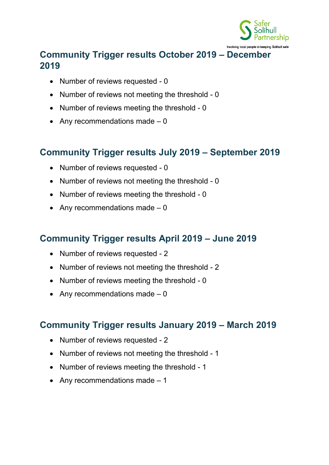

## **Community Trigger results October 2019 – December 2019**

- Number of reviews requested 0
- Number of reviews not meeting the threshold 0
- Number of reviews meeting the threshold 0
- Any recommendations made  $-0$

# **Community Trigger results July 2019 – September 2019**

- Number of reviews requested 0
- Number of reviews not meeting the threshold 0
- Number of reviews meeting the threshold 0
- Any recommendations made  $-0$

#### **Community Trigger results April 2019 – June 2019**

- Number of reviews requested 2
- Number of reviews not meeting the threshold 2
- Number of reviews meeting the threshold 0
- Any recommendations made  $-0$

#### **Community Trigger results January 2019 – March 2019**

- Number of reviews requested 2
- Number of reviews not meeting the threshold 1
- Number of reviews meeting the threshold 1
- Any recommendations made  $-1$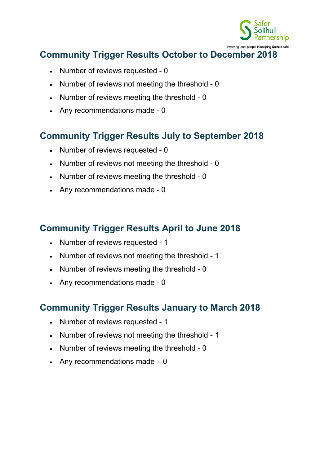

- Number of reviews requested 0
- Number of reviews not meeting the threshold 0
- Number of reviews meeting the threshold 0
- Any recommendations made 0

#### **Community Trigger Results July to September 2018**

- Number of reviews requested 0
- Number of reviews not meeting the threshold 0
- Number of reviews meeting the threshold 0
- Any recommendations made 0

#### **Community Trigger Results April to June 2018**

- Number of reviews requested 1
- Number of reviews not meeting the threshold 1
- Number of reviews meeting the threshold 0
- Any recommendations made 0

- Number of reviews requested 1
- Number of reviews not meeting the threshold 1
- Number of reviews meeting the threshold 0
- Any recommendations made  $-0$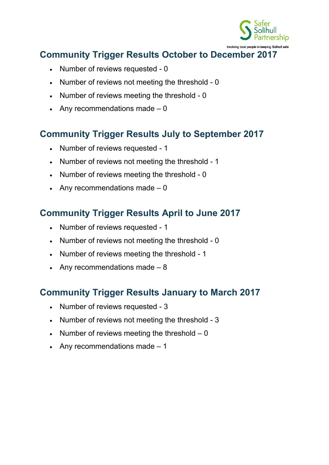

- Number of reviews requested 0
- Number of reviews not meeting the threshold 0
- Number of reviews meeting the threshold 0
- Any recommendations made  $-0$

## **Community Trigger Results July to September 2017**

- Number of reviews requested 1
- Number of reviews not meeting the threshold 1
- Number of reviews meeting the threshold 0
- Any recommendations made  $-0$

## **Community Trigger Results April to June 2017**

- Number of reviews requested 1
- Number of reviews not meeting the threshold 0
- Number of reviews meeting the threshold 1
- Any recommendations made  $-8$

- Number of reviews requested 3
- Number of reviews not meeting the threshold 3
- Number of reviews meeting the threshold  $-0$
- Any recommendations made  $-1$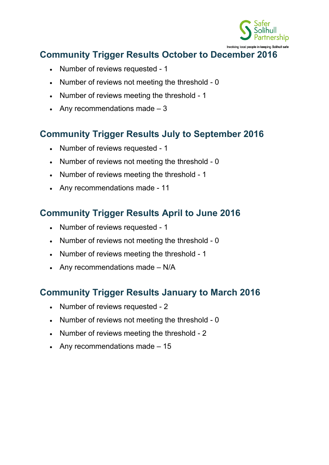

- Number of reviews requested 1
- Number of reviews not meeting the threshold 0
- Number of reviews meeting the threshold 1
- Any recommendations made  $-3$

# **Community Trigger Results July to September 2016**

- Number of reviews requested 1
- Number of reviews not meeting the threshold 0
- Number of reviews meeting the threshold 1
- Any recommendations made 11

# **Community Trigger Results April to June 2016**

- Number of reviews requested 1
- Number of reviews not meeting the threshold 0
- Number of reviews meeting the threshold 1
- Any recommendations made N/A

- Number of reviews requested 2
- Number of reviews not meeting the threshold 0
- Number of reviews meeting the threshold 2
- Any recommendations made  $-15$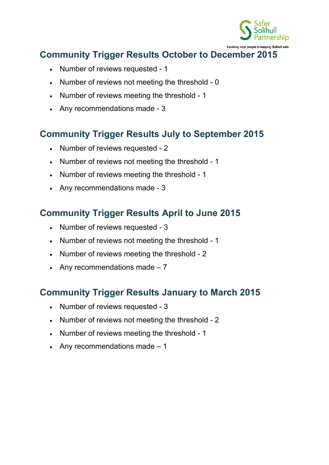

- Number of reviews requested 1
- Number of reviews not meeting the threshold 0
- Number of reviews meeting the threshold 1
- Any recommendations made 3

# **Community Trigger Results July to September 2015**

- Number of reviews requested 2
- Number of reviews not meeting the threshold 1
- Number of reviews meeting the threshold 1
- Any recommendations made 3

# **Community Trigger Results April to June 2015**

- Number of reviews requested 3
- Number of reviews not meeting the threshold 1
- Number of reviews meeting the threshold 2
- Any recommendations made  $-7$

- Number of reviews requested 3
- Number of reviews not meeting the threshold 2
- Number of reviews meeting the threshold 1
- Any recommendations made  $-1$